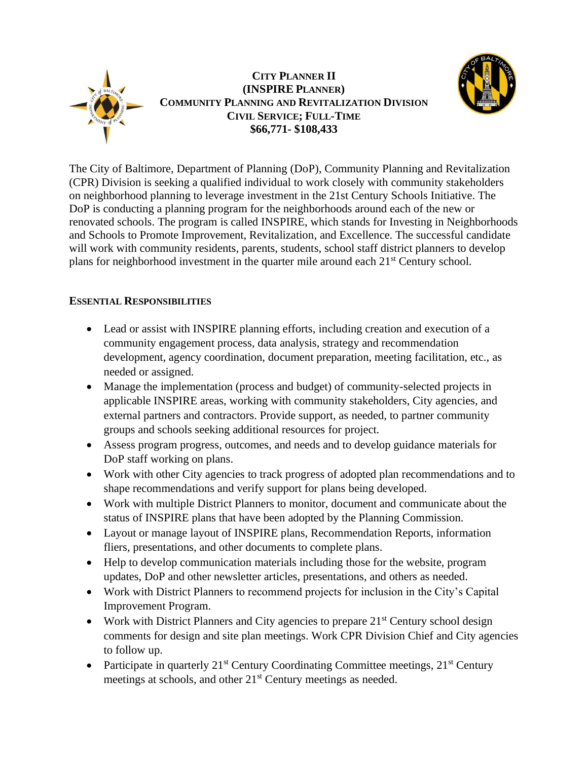

# **CITY PLANNER II (INSPIRE PLANNER) COMMUNITY PLANNING AND REVITALIZATION DIVISION CIVIL SERVICE; FULL-TIME \$66,771- \$108,433**



The City of Baltimore, Department of Planning (DoP), Community Planning and Revitalization (CPR) Division is seeking a qualified individual to work closely with community stakeholders on neighborhood planning to leverage investment in the 21st Century Schools Initiative. The DoP is conducting a planning program for the neighborhoods around each of the new or renovated schools. The program is called INSPIRE, which stands for Investing in Neighborhoods and Schools to Promote Improvement, Revitalization, and Excellence. The successful candidate will work with community residents, parents, students, school staff district planners to develop plans for neighborhood investment in the quarter mile around each 21st Century school.

# **ESSENTIAL RESPONSIBILITIES**

- Lead or assist with INSPIRE planning efforts, including creation and execution of a community engagement process, data analysis, strategy and recommendation development, agency coordination, document preparation, meeting facilitation, etc., as needed or assigned.
- Manage the implementation (process and budget) of community-selected projects in applicable INSPIRE areas, working with community stakeholders, City agencies, and external partners and contractors. Provide support, as needed, to partner community groups and schools seeking additional resources for project.
- Assess program progress, outcomes, and needs and to develop guidance materials for DoP staff working on plans.
- Work with other City agencies to track progress of adopted plan recommendations and to shape recommendations and verify support for plans being developed.
- Work with multiple District Planners to monitor, document and communicate about the status of INSPIRE plans that have been adopted by the Planning Commission.
- Layout or manage layout of INSPIRE plans, Recommendation Reports, information fliers, presentations, and other documents to complete plans.
- Help to develop communication materials including those for the website, program updates, DoP and other newsletter articles, presentations, and others as needed.
- Work with District Planners to recommend projects for inclusion in the City's Capital Improvement Program.
- Work with District Planners and City agencies to prepare  $21<sup>st</sup>$  Century school design comments for design and site plan meetings. Work CPR Division Chief and City agencies to follow up.
- Participate in quarterly  $21^{st}$  Century Coordinating Committee meetings,  $21^{st}$  Century meetings at schools, and other 21<sup>st</sup> Century meetings as needed.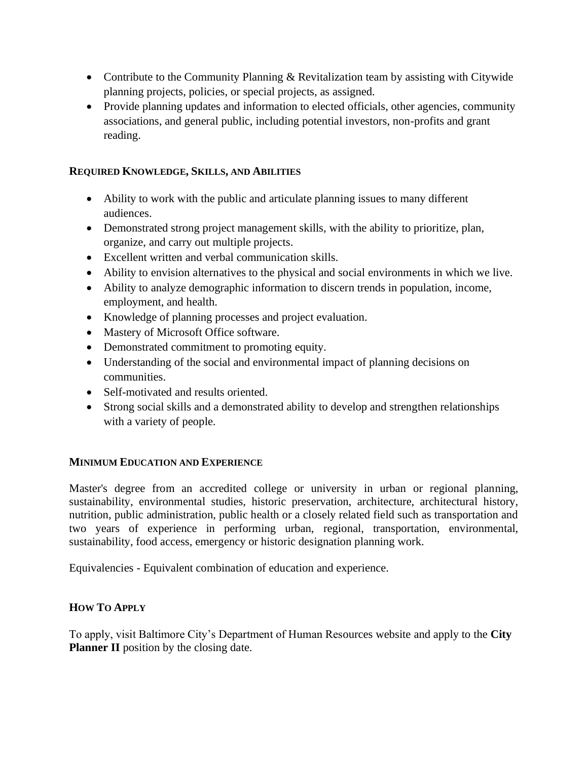- Contribute to the Community Planning & Revitalization team by assisting with Citywide planning projects, policies, or special projects, as assigned.
- Provide planning updates and information to elected officials, other agencies, community associations, and general public, including potential investors, non-profits and grant reading.

### **REQUIRED KNOWLEDGE, SKILLS, AND ABILITIES**

- Ability to work with the public and articulate planning issues to many different audiences.
- Demonstrated strong project management skills, with the ability to prioritize, plan, organize, and carry out multiple projects.
- Excellent written and verbal communication skills.
- Ability to envision alternatives to the physical and social environments in which we live.
- Ability to analyze demographic information to discern trends in population, income, employment, and health.
- Knowledge of planning processes and project evaluation.
- Mastery of Microsoft Office software.
- Demonstrated commitment to promoting equity.
- Understanding of the social and environmental impact of planning decisions on communities.
- Self-motivated and results oriented.
- Strong social skills and a demonstrated ability to develop and strengthen relationships with a variety of people.

## **MINIMUM EDUCATION AND EXPERIENCE**

Master's degree from an accredited college or university in urban or regional planning, sustainability, environmental studies, historic preservation, architecture, architectural history, nutrition, public administration, public health or a closely related field such as transportation and two years of experience in performing urban, regional, transportation, environmental, sustainability, food access, emergency or historic designation planning work.

Equivalencies - Equivalent combination of education and experience.

## **HOW TO APPLY**

To apply, visit Baltimore City's Department of Human Resources website and apply to the **City Planner II** position by the closing date.